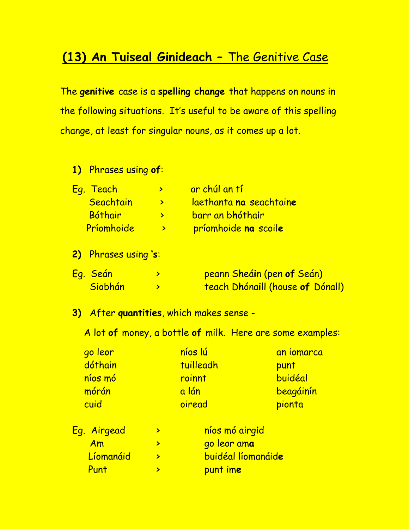## **(13) An Tuiseal Ginideach –** The Genitive Case

The **genitive** case is a **spelling change** that happens on nouns in the following situations. It's useful to be aware of this spelling change, at least for singular nouns, as it comes up a lot.

**1)** Phrases using **of**:

| <u>Eg. Teach</u> | ar chúl an t <b>í</b> ' |
|------------------|-------------------------|
| Seachtain        | laethanta na seachtaine |
| Bóthair          | barr an bhóthair        |
| Príomhoide       | príomhoide na scoile    |

**2)** Phrases using **'s**:

| <u>Eg. Seán</u> | <mark>peann S<b>h</b>eáin (pen <b>of</b> Seán)</mark> |
|-----------------|-------------------------------------------------------|
| Siobhán         | teach Dhónaill (house of Dónall)                      |

**3)** After **quantities**, which makes sense -

A lot **of** money, a bottle **of** milk. Here are some examples:

| go leor | níos lú   | an iomarca |
|---------|-----------|------------|
| dóthain | tuilleadh | punt       |
| níos mó | roinnt    | buidéal    |
| mórán   | a lán     | beagáinín  |
| cuid    | oiread    | pionta     |
|         |           |            |

| Eg. Airgead | níos mó airgid                  |
|-------------|---------------------------------|
| Am          | <mark>go leor am<b>a</b></mark> |
| Líomanáid   | <b>buidéal líomanáide</b>       |
| Punt        | punt ime                        |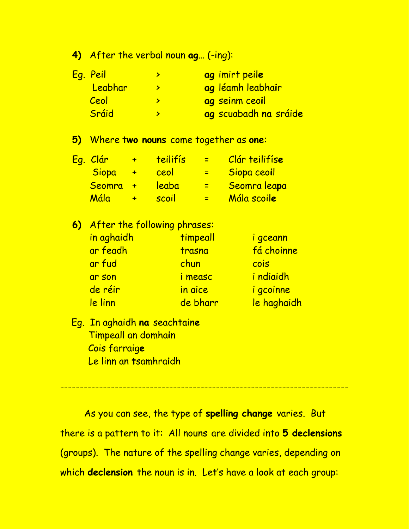**4)** After the verbal noun **ag…** (-ing):

| <u>Eg. Peil</u> | ag imirt peile        |
|-----------------|-----------------------|
| Leabhar         | ag léamh leabhair     |
| Ceol            | ag seinm ceoil        |
| Sráid           | ag scuabadh na sráide |

**5)** Where **two nouns** come together as **one**:

| <u>Eg. Clár</u> |        | teilifís | æ. | Clár teilifíse |
|-----------------|--------|----------|----|----------------|
| Siopa           | $\div$ | ceol     |    | Siopa ceoil    |
| Seomra +        |        | leaba    |    | Seomra leapa   |
| <u>Mála </u>    |        | scoil    |    | Mála scoile    |

**6)** After the following phrases:

| <u>in aghaidh</u> | timpeall       | i gceann                 |
|-------------------|----------------|--------------------------|
| ar feadh          | trasna         | fá choinne               |
| ar fud            | chun           | cois                     |
| ar son            | <i>i</i> measc | <i>i</i> ndiaidh         |
| de réir           | in aice        | i gcoinne                |
| <u>le linn</u>    | de bharr       | <mark>le haghaidh</mark> |

 Eg. In aghaidh **na** seachtain**e** Timpeall an domha**i**n Cois farraig**e** Le linn an **t**samhra**i**dh

As you can see, the type of **spelling change** varies. But there is a pattern to it: All nouns are divided into **5 declensions**  (groups). The nature of the spelling change varies, depending on which **declension** the noun is in. Let's have a look at each group:

--------------------------------------------------------------------------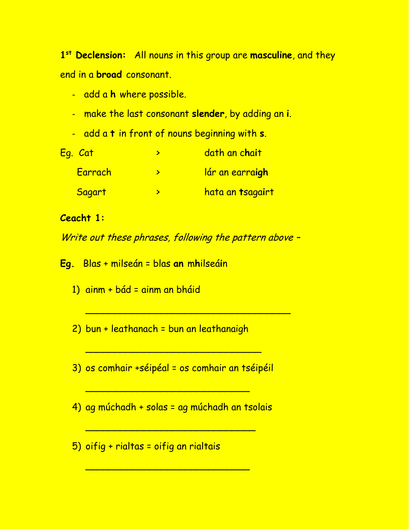1<sup>st</sup> Declension: All nouns in this group are masculine, and they end in a **broad** consonant.

- add a h where possible.
- make the last consonant slender, by adding an i.
- add a t in front of nouns beginning with s.

| Eg. Cat | dath an chait          |
|---------|------------------------|
| Earrach | <u>lár an earraigh</u> |
| Sagart  | hata an tsagairt       |

## **Ceacht 1:**

Write out these phrases, following the pattern above -

Eg. Blas + milseán = blas an mhilseáin

- 1) ainm + bád = ainm an bháid
- 2) bun + leathanach = bun an leathanaigh

3) os comhair +séipéal = os comhair an tséipéil

- 4) ag múchadh + solas = ag múchadh an tsolais
- 5) oifig + rialtas = oifig an rialtais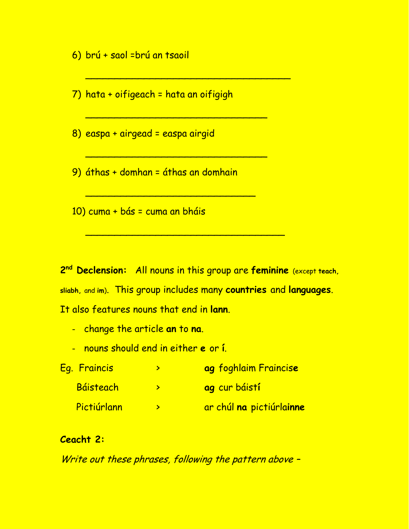6) brú + saol = brú an tsaoil

7) hata + oifigeach = hata an oifigigh

8) easpa + airgead = easpa airgid

9) áthas + domhan = áthas an domhain

10) cuma + bás = cuma an bháis

2<sup>nd</sup> Declension: All nouns in this group are feminine (except teach, sliabh, and im). This group includes many countries and languages. It also features nouns that end in lann

- change the article an to na.
- nouns should end in either e or í.

| Eg. Fraincis | ag foghlaim Fraincise    |
|--------------|--------------------------|
| Báisteach    | <b>ag</b> cur báistí     |
| Pictiúrlann  | ar chúl na pictiúrlainne |

## Ceacht 2:

Write out these phrases, following the pattern above -